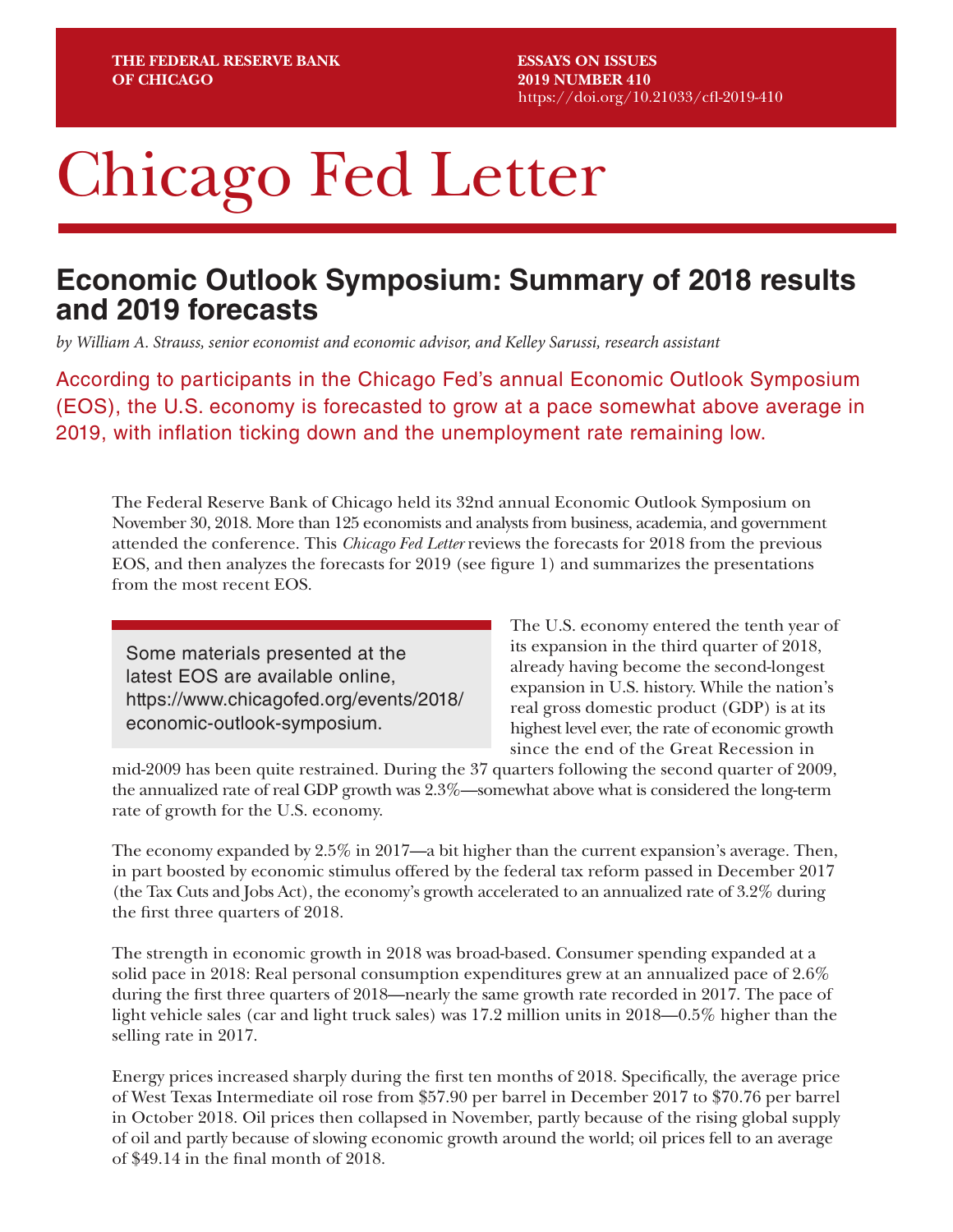# Chicago Fed Letter

## **Economic Outlook Symposium: Summary of 2018 results and 2019 forecasts**

*by William A. Strauss, senior economist and economic advisor, and Kelley Sarussi, research assistant*

According to participants in the Chicago Fed's annual Economic Outlook Symposium (EOS), the U.S. economy is forecasted to grow at a pace somewhat above average in 2019, with inflation ticking down and the unemployment rate remaining low.

The Federal Reserve Bank of Chicago held its 32nd annual Economic Outlook Symposium on November 30, 2018. More than 125 economists and analysts from business, academia, and government attended the conference. This *Chicago Fed Letter* reviews the forecasts for 2018 from the previous EOS, and then analyzes the forecasts for 2019 (see figure 1) and summarizes the presentations from the most recent EOS.

Some materials presented at the latest EOS are available online, [https://www.chicagofed.org/events/2018/](https://www.chicagofed.org/events/2018/ economic-outlook-symposium)  [economic-outlook-symposium.](https://www.chicagofed.org/events/2018/ economic-outlook-symposium)

The U.S. economy entered the tenth year of its expansion in the third quarter of 2018, already having become the second-longest expansion in U.S. history. While the nation's real gross domestic product (GDP) is at its highest level ever, the rate of economic growth since the end of the Great Recession in

mid-2009 has been quite restrained. During the 37 quarters following the second quarter of 2009, the annualized rate of real GDP growth was 2.3%—somewhat above what is considered the long-term rate of growth for the U.S. economy.

The economy expanded by 2.5% in 2017—a bit higher than the current expansion's average. Then, in part boosted by economic stimulus offered by the federal tax reform passed in December 2017 (the Tax Cuts and Jobs Act), the economy's growth accelerated to an annualized rate of 3.2% during the first three quarters of 2018.

The strength in economic growth in 2018 was broad-based. Consumer spending expanded at a solid pace in 2018: Real personal consumption expenditures grew at an annualized pace of 2.6% during the first three quarters of 2018—nearly the same growth rate recorded in 2017. The pace of light vehicle sales (car and light truck sales) was 17.2 million units in 2018—0.5% higher than the selling rate in 2017.

Energy prices increased sharply during the first ten months of 2018. Specifically, the average price of West Texas Intermediate oil rose from \$57.90 per barrel in December 2017 to \$70.76 per barrel in October 2018. Oil prices then collapsed in November, partly because of the rising global supply of oil and partly because of slowing economic growth around the world; oil prices fell to an average of \$49.14 in the final month of 2018.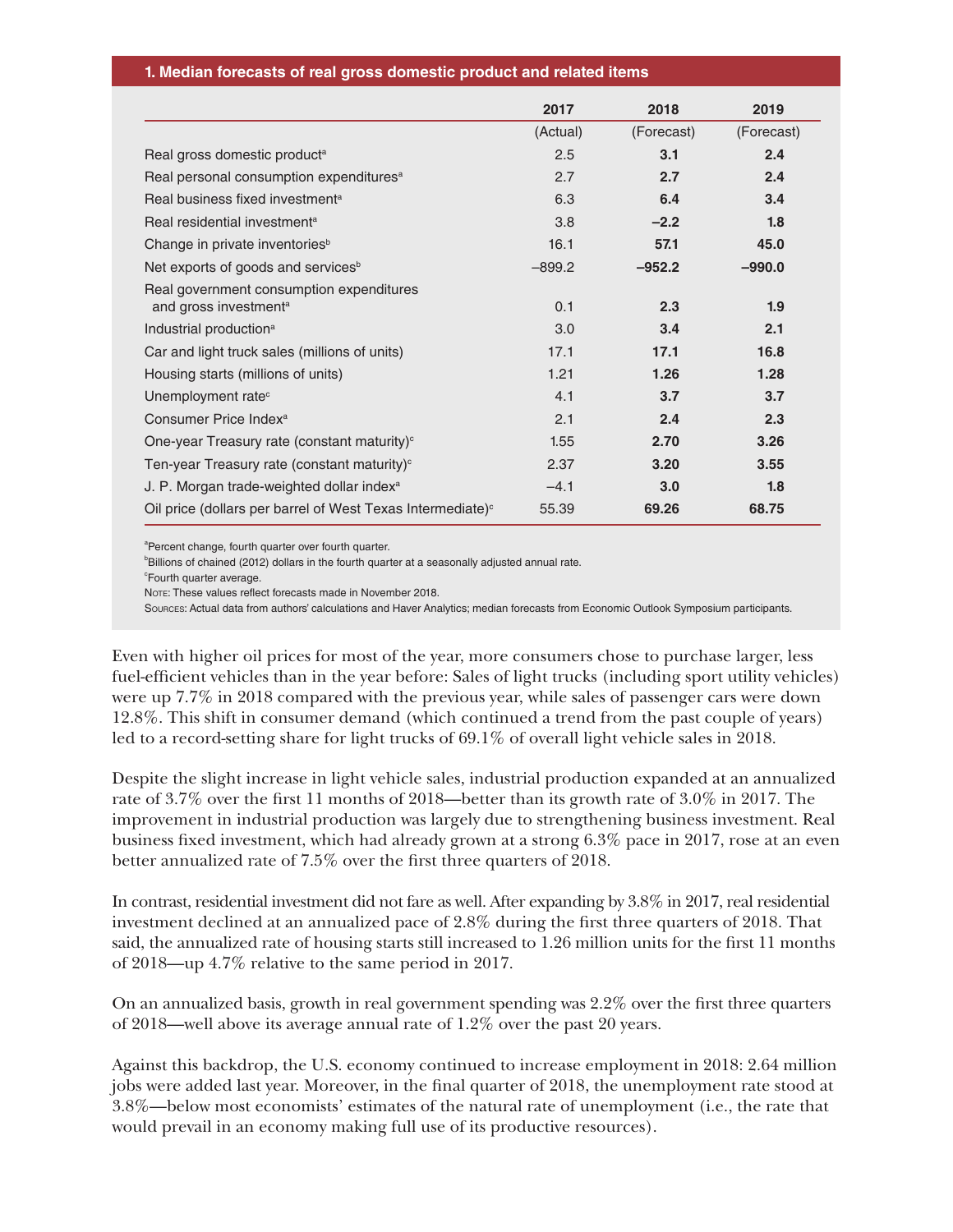|                                                                               | 2017     | 2018       | 2019       |
|-------------------------------------------------------------------------------|----------|------------|------------|
|                                                                               | (Actual) | (Forecast) | (Forecast) |
| Real gross domestic product <sup>a</sup>                                      | 2.5      | 3.1        | 2.4        |
| Real personal consumption expenditures <sup>a</sup>                           | 2.7      | 2.7        | 2.4        |
| Real business fixed investment <sup>a</sup>                                   | 6.3      | 6.4        | 3.4        |
| Real residential investment <sup>a</sup>                                      | 3.8      | $-2.2$     | 1.8        |
| Change in private inventories <sup>b</sup>                                    | 16.1     | 57.1       | 45.0       |
| Net exports of goods and services <sup>b</sup>                                | $-899.2$ | $-952.2$   | $-990.0$   |
| Real government consumption expenditures<br>and gross investment <sup>a</sup> | 0.1      | 2.3        | 1.9        |
| Industrial production <sup>a</sup>                                            | 3.0      | 3.4        | 2.1        |
| Car and light truck sales (millions of units)                                 | 17.1     | 17.1       | 16.8       |
| Housing starts (millions of units)                                            | 1.21     | 1.26       | 1.28       |
| Unemployment rate <sup>c</sup>                                                | 4.1      | 3.7        | 3.7        |
| Consumer Price Index <sup>a</sup>                                             | 2.1      | 2.4        | 2.3        |
| One-year Treasury rate (constant maturity) <sup>c</sup>                       | 1.55     | 2.70       | 3.26       |
| Ten-year Treasury rate (constant maturity) $\circ$                            | 2.37     | 3.20       | 3.55       |
| J. P. Morgan trade-weighted dollar index <sup>a</sup>                         | $-4.1$   | 3.0        | 1.8        |
| Oil price (dollars per barrel of West Texas Intermediate) <sup>c</sup>        | 55.39    | 69.26      | 68.75      |

<sup>a</sup>Percent change, fourth quarter over fourth quarter.

<sup>b</sup>Billions of chained (2012) dollars in the fourth quarter at a seasonally adjusted annual rate.

<sup>c</sup>Fourth quarter average.

Note: These values reflect forecasts made in November 2018.

Sources: Actual data from authors' calculations and Haver Analytics; median forecasts from Economic Outlook Symposium participants.

Even with higher oil prices for most of the year, more consumers chose to purchase larger, less fuel-efficient vehicles than in the year before: Sales of light trucks (including sport utility vehicles) were up 7.7% in 2018 compared with the previous year, while sales of passenger cars were down 12.8%. This shift in consumer demand (which continued a trend from the past couple of years) led to a record-setting share for light trucks of 69.1% of overall light vehicle sales in 2018.

Despite the slight increase in light vehicle sales, industrial production expanded at an annualized rate of 3.7% over the first 11 months of 2018—better than its growth rate of 3.0% in 2017. The improvement in industrial production was largely due to strengthening business investment. Real business fixed investment, which had already grown at a strong 6.3% pace in 2017, rose at an even better annualized rate of 7.5% over the first three quarters of 2018.

In contrast, residential investment did not fare as well. After expanding by 3.8% in 2017, real residential investment declined at an annualized pace of 2.8% during the first three quarters of 2018. That said, the annualized rate of housing starts still increased to 1.26 million units for the first 11 months of 2018—up 4.7% relative to the same period in 2017.

On an annualized basis, growth in real government spending was 2.2% over the first three quarters of 2018—well above its average annual rate of 1.2% over the past 20 years.

Against this backdrop, the U.S. economy continued to increase employment in 2018: 2.64 million jobs were added last year. Moreover, in the final quarter of 2018, the unemployment rate stood at 3.8%—below most economists' estimates of the natural rate of unemployment (i.e., the rate that would prevail in an economy making full use of its productive resources).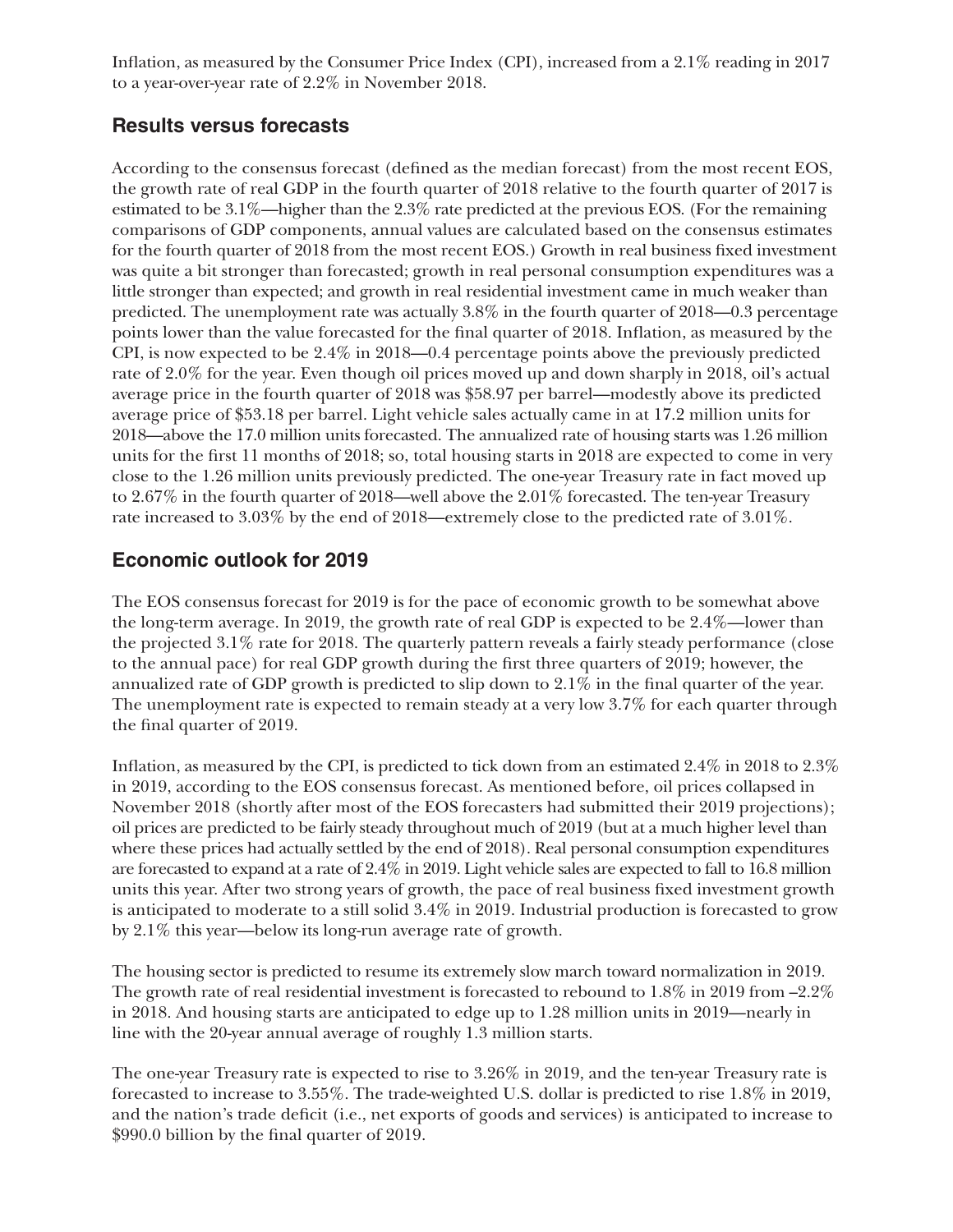Inflation, as measured by the Consumer Price Index (CPI), increased from a 2.1% reading in 2017 to a year-over-year rate of 2.2% in November 2018.

#### **Results versus forecasts**

According to the consensus forecast (defined as the median forecast) from the most recent EOS, the growth rate of real GDP in the fourth quarter of 2018 relative to the fourth quarter of 2017 is estimated to be 3.1%—higher than the 2.3% rate predicted at the previous EOS. (For the remaining comparisons of GDP components, annual values are calculated based on the consensus estimates for the fourth quarter of 2018 from the most recent EOS.) Growth in real business fixed investment was quite a bit stronger than forecasted; growth in real personal consumption expenditures was a little stronger than expected; and growth in real residential investment came in much weaker than predicted. The unemployment rate was actually 3.8% in the fourth quarter of 2018—0.3 percentage points lower than the value forecasted for the final quarter of 2018. Inflation, as measured by the CPI, is now expected to be 2.4% in 2018—0.4 percentage points above the previously predicted rate of 2.0% for the year. Even though oil prices moved up and down sharply in 2018, oil's actual average price in the fourth quarter of 2018 was \$58.97 per barrel—modestly above its predicted average price of \$53.18 per barrel. Light vehicle sales actually came in at 17.2 million units for 2018—above the 17.0 million units forecasted. The annualized rate of housing starts was 1.26 million units for the first 11 months of 2018; so, total housing starts in 2018 are expected to come in very close to the 1.26 million units previously predicted. The one-year Treasury rate in fact moved up to 2.67% in the fourth quarter of 2018—well above the 2.01% forecasted. The ten-year Treasury rate increased to 3.03% by the end of 2018—extremely close to the predicted rate of 3.01%.

#### **Economic outlook for 2019**

The EOS consensus forecast for 2019 is for the pace of economic growth to be somewhat above the long-term average. In 2019, the growth rate of real GDP is expected to be 2.4%—lower than the projected 3.1% rate for 2018. The quarterly pattern reveals a fairly steady performance (close to the annual pace) for real GDP growth during the first three quarters of 2019; however, the annualized rate of GDP growth is predicted to slip down to 2.1% in the final quarter of the year. The unemployment rate is expected to remain steady at a very low 3.7% for each quarter through the final quarter of 2019.

Inflation, as measured by the CPI, is predicted to tick down from an estimated 2.4% in 2018 to 2.3% in 2019, according to the EOS consensus forecast. As mentioned before, oil prices collapsed in November 2018 (shortly after most of the EOS forecasters had submitted their 2019 projections); oil prices are predicted to be fairly steady throughout much of 2019 (but at a much higher level than where these prices had actually settled by the end of 2018). Real personal consumption expenditures are forecasted to expand at a rate of 2.4% in 2019. Light vehicle sales are expected to fall to 16.8 million units this year. After two strong years of growth, the pace of real business fixed investment growth is anticipated to moderate to a still solid 3.4% in 2019. Industrial production is forecasted to grow by 2.1% this year—below its long-run average rate of growth.

The housing sector is predicted to resume its extremely slow march toward normalization in 2019. The growth rate of real residential investment is forecasted to rebound to 1.8% in 2019 from –2.2% in 2018. And housing starts are anticipated to edge up to 1.28 million units in 2019—nearly in line with the 20-year annual average of roughly 1.3 million starts.

The one-year Treasury rate is expected to rise to 3.26% in 2019, and the ten-year Treasury rate is forecasted to increase to 3.55%. The trade-weighted U.S. dollar is predicted to rise 1.8% in 2019, and the nation's trade deficit (i.e., net exports of goods and services) is anticipated to increase to \$990.0 billion by the final quarter of 2019.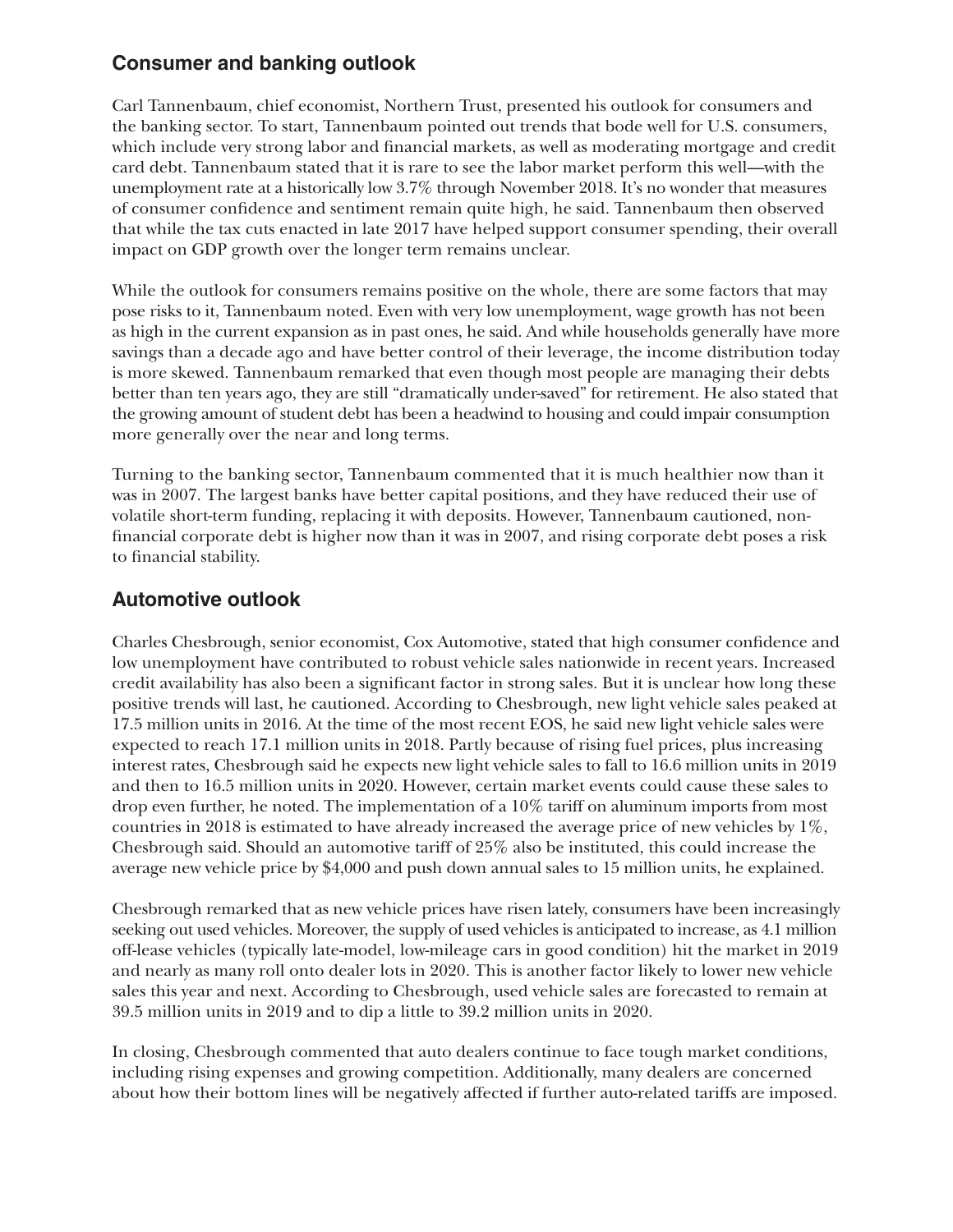#### **Consumer and banking outlook**

Carl Tannenbaum, chief economist, Northern Trust, presented his outlook for consumers and the banking sector. To start, Tannenbaum pointed out trends that bode well for U.S. consumers, which include very strong labor and financial markets, as well as moderating mortgage and credit card debt. Tannenbaum stated that it is rare to see the labor market perform this well—with the unemployment rate at a historically low 3.7% through November 2018. It's no wonder that measures of consumer confidence and sentiment remain quite high, he said. Tannenbaum then observed that while the tax cuts enacted in late 2017 have helped support consumer spending, their overall impact on GDP growth over the longer term remains unclear.

While the outlook for consumers remains positive on the whole, there are some factors that may pose risks to it, Tannenbaum noted. Even with very low unemployment, wage growth has not been as high in the current expansion as in past ones, he said. And while households generally have more savings than a decade ago and have better control of their leverage, the income distribution today is more skewed. Tannenbaum remarked that even though most people are managing their debts better than ten years ago, they are still "dramatically under-saved" for retirement. He also stated that the growing amount of student debt has been a headwind to housing and could impair consumption more generally over the near and long terms.

Turning to the banking sector, Tannenbaum commented that it is much healthier now than it was in 2007. The largest banks have better capital positions, and they have reduced their use of volatile short-term funding, replacing it with deposits. However, Tannenbaum cautioned, nonfinancial corporate debt is higher now than it was in 2007, and rising corporate debt poses a risk to financial stability.

#### **Automotive outlook**

Charles Chesbrough, senior economist, Cox Automotive, stated that high consumer confidence and low unemployment have contributed to robust vehicle sales nationwide in recent years. Increased credit availability has also been a significant factor in strong sales. But it is unclear how long these positive trends will last, he cautioned. According to Chesbrough, new light vehicle sales peaked at 17.5 million units in 2016. At the time of the most recent EOS, he said new light vehicle sales were expected to reach 17.1 million units in 2018. Partly because of rising fuel prices, plus increasing interest rates, Chesbrough said he expects new light vehicle sales to fall to 16.6 million units in 2019 and then to 16.5 million units in 2020. However, certain market events could cause these sales to drop even further, he noted. The implementation of a 10% tariff on aluminum imports from most countries in 2018 is estimated to have already increased the average price of new vehicles by 1%, Chesbrough said. Should an automotive tariff of 25% also be instituted, this could increase the average new vehicle price by \$4,000 and push down annual sales to 15 million units, he explained.

Chesbrough remarked that as new vehicle prices have risen lately, consumers have been increasingly seeking out used vehicles. Moreover, the supply of used vehicles is anticipated to increase, as 4.1 million off-lease vehicles (typically late-model, low-mileage cars in good condition) hit the market in 2019 and nearly as many roll onto dealer lots in 2020. This is another factor likely to lower new vehicle sales this year and next. According to Chesbrough, used vehicle sales are forecasted to remain at 39.5 million units in 2019 and to dip a little to 39.2 million units in 2020.

In closing, Chesbrough commented that auto dealers continue to face tough market conditions, including rising expenses and growing competition. Additionally, many dealers are concerned about how their bottom lines will be negatively affected if further auto-related tariffs are imposed.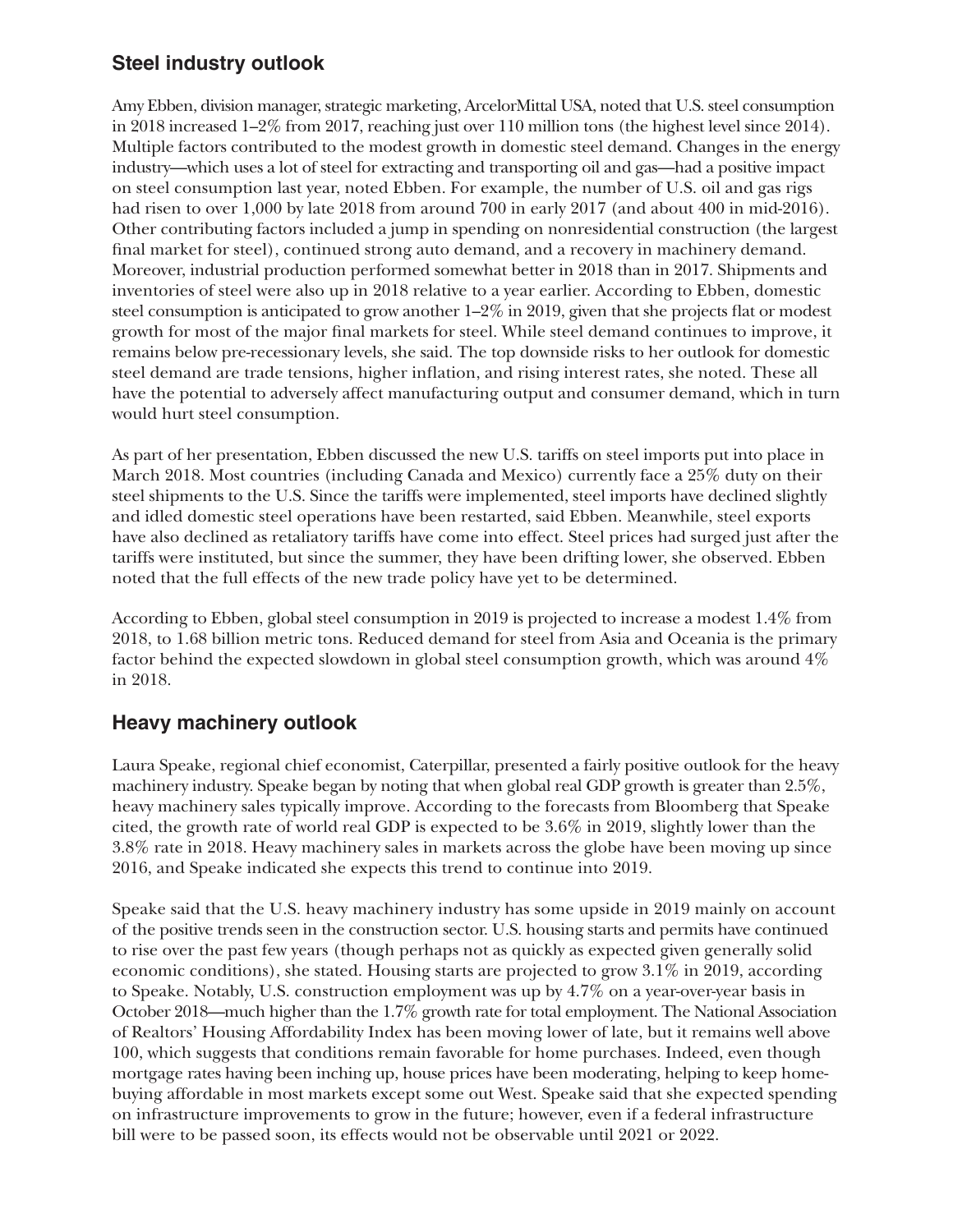#### **Steel industry outlook**

Amy Ebben, division manager, strategic marketing, ArcelorMittal USA, noted that U.S. steel consumption in 2018 increased 1–2% from 2017, reaching just over 110 million tons (the highest level since 2014). Multiple factors contributed to the modest growth in domestic steel demand. Changes in the energy industry—which uses a lot of steel for extracting and transporting oil and gas—had a positive impact on steel consumption last year, noted Ebben. For example, the number of U.S. oil and gas rigs had risen to over 1,000 by late 2018 from around 700 in early 2017 (and about 400 in mid-2016). Other contributing factors included a jump in spending on nonresidential construction (the largest final market for steel), continued strong auto demand, and a recovery in machinery demand. Moreover, industrial production performed somewhat better in 2018 than in 2017. Shipments and inventories of steel were also up in 2018 relative to a year earlier. According to Ebben, domestic steel consumption is anticipated to grow another  $1-2\%$  in 2019, given that she projects flat or modest growth for most of the major final markets for steel. While steel demand continues to improve, it remains below pre-recessionary levels, she said. The top downside risks to her outlook for domestic steel demand are trade tensions, higher inflation, and rising interest rates, she noted. These all have the potential to adversely affect manufacturing output and consumer demand, which in turn would hurt steel consumption.

As part of her presentation, Ebben discussed the new U.S. tariffs on steel imports put into place in March 2018. Most countries (including Canada and Mexico) currently face a 25% duty on their steel shipments to the U.S. Since the tariffs were implemented, steel imports have declined slightly and idled domestic steel operations have been restarted, said Ebben. Meanwhile, steel exports have also declined as retaliatory tariffs have come into effect. Steel prices had surged just after the tariffs were instituted, but since the summer, they have been drifting lower, she observed. Ebben noted that the full effects of the new trade policy have yet to be determined.

According to Ebben, global steel consumption in 2019 is projected to increase a modest 1.4% from 2018, to 1.68 billion metric tons. Reduced demand for steel from Asia and Oceania is the primary factor behind the expected slowdown in global steel consumption growth, which was around 4% in 2018.

#### **Heavy machinery outlook**

Laura Speake, regional chief economist, Caterpillar, presented a fairly positive outlook for the heavy machinery industry. Speake began by noting that when global real GDP growth is greater than 2.5%, heavy machinery sales typically improve. According to the forecasts from Bloomberg that Speake cited, the growth rate of world real GDP is expected to be 3.6% in 2019, slightly lower than the 3.8% rate in 2018. Heavy machinery sales in markets across the globe have been moving up since 2016, and Speake indicated she expects this trend to continue into 2019.

Speake said that the U.S. heavy machinery industry has some upside in 2019 mainly on account of the positive trends seen in the construction sector. U.S. housing starts and permits have continued to rise over the past few years (though perhaps not as quickly as expected given generally solid economic conditions), she stated. Housing starts are projected to grow 3.1% in 2019, according to Speake. Notably, U.S. construction employment was up by 4.7% on a year-over-year basis in October 2018—much higher than the 1.7% growth rate for total employment. The National Association of Realtors' Housing Affordability Index has been moving lower of late, but it remains well above 100, which suggests that conditions remain favorable for home purchases. Indeed, even though mortgage rates having been inching up, house prices have been moderating, helping to keep homebuying affordable in most markets except some out West. Speake said that she expected spending on infrastructure improvements to grow in the future; however, even if a federal infrastructure bill were to be passed soon, its effects would not be observable until 2021 or 2022.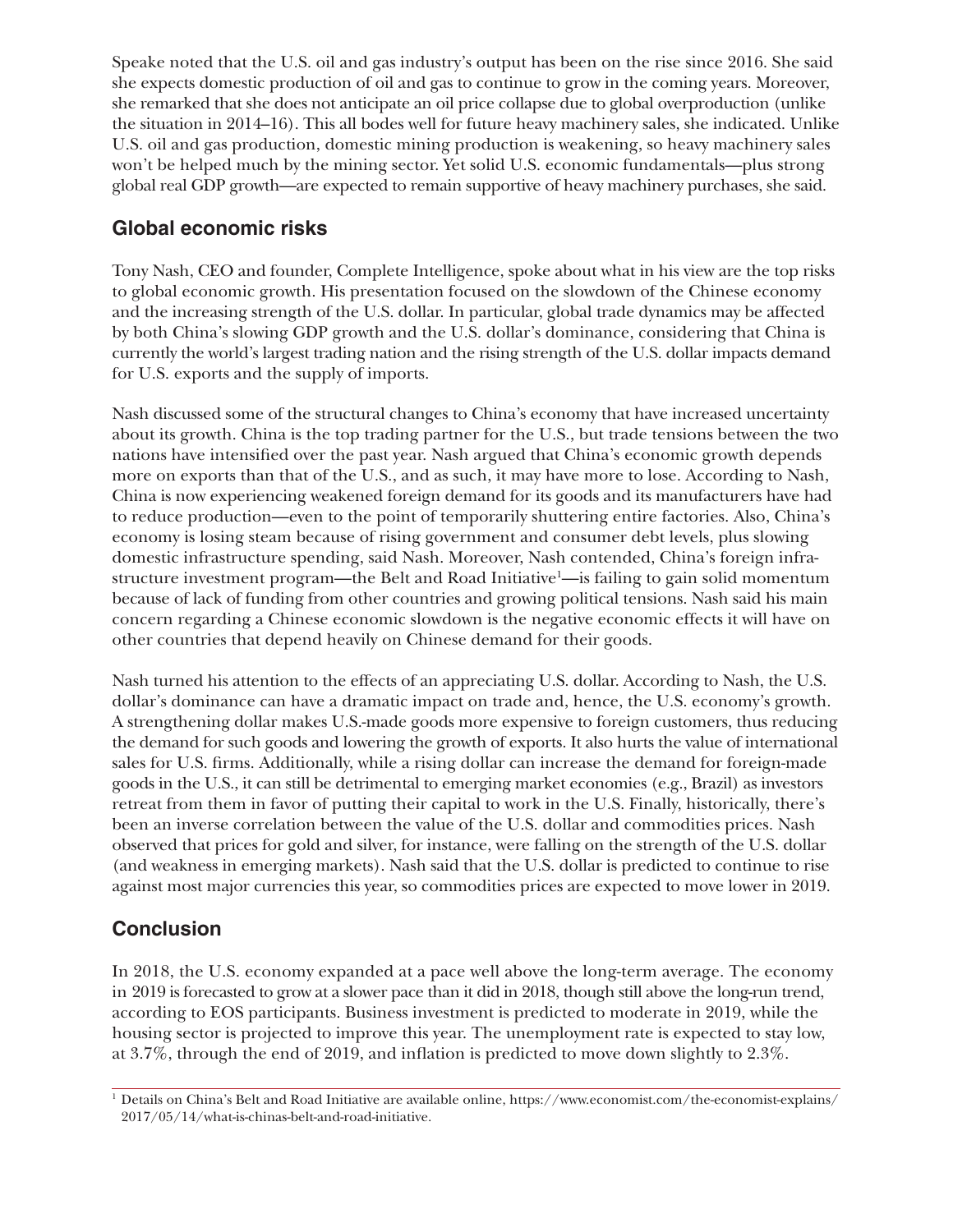Speake noted that the U.S. oil and gas industry's output has been on the rise since 2016. She said she expects domestic production of oil and gas to continue to grow in the coming years. Moreover, she remarked that she does not anticipate an oil price collapse due to global overproduction (unlike the situation in 2014–16). This all bodes well for future heavy machinery sales, she indicated. Unlike U.S. oil and gas production, domestic mining production is weakening, so heavy machinery sales won't be helped much by the mining sector. Yet solid U.S. economic fundamentals—plus strong global real GDP growth—are expected to remain supportive of heavy machinery purchases, she said.

#### **Global economic risks**

Tony Nash, CEO and founder, Complete Intelligence, spoke about what in his view are the top risks to global economic growth. His presentation focused on the slowdown of the Chinese economy and the increasing strength of the U.S. dollar. In particular, global trade dynamics may be affected by both China's slowing GDP growth and the U.S. dollar's dominance, considering that China is currently the world's largest trading nation and the rising strength of the U.S. dollar impacts demand for U.S. exports and the supply of imports.

Nash discussed some of the structural changes to China's economy that have increased uncertainty about its growth. China is the top trading partner for the U.S., but trade tensions between the two nations have intensified over the past year. Nash argued that China's economic growth depends more on exports than that of the U.S., and as such, it may have more to lose. According to Nash, China is now experiencing weakened foreign demand for its goods and its manufacturers have had to reduce production—even to the point of temporarily shuttering entire factories. Also, China's economy is losing steam because of rising government and consumer debt levels, plus slowing domestic infrastructure spending, said Nash. Moreover, Nash contended, China's foreign infrastructure investment program—the Belt and Road Initiative<sup>1</sup>—is failing to gain solid momentum because of lack of funding from other countries and growing political tensions. Nash said his main concern regarding a Chinese economic slowdown is the negative economic effects it will have on other countries that depend heavily on Chinese demand for their goods.

Nash turned his attention to the effects of an appreciating U.S. dollar. According to Nash, the U.S. dollar's dominance can have a dramatic impact on trade and, hence, the U.S. economy's growth. A strengthening dollar makes U.S.-made goods more expensive to foreign customers, thus reducing the demand for such goods and lowering the growth of exports. It also hurts the value of international sales for U.S. firms. Additionally, while a rising dollar can increase the demand for foreign-made goods in the U.S., it can still be detrimental to emerging market economies (e.g., Brazil) as investors retreat from them in favor of putting their capital to work in the U.S. Finally, historically, there's been an inverse correlation between the value of the U.S. dollar and commodities prices. Nash observed that prices for gold and silver, for instance, were falling on the strength of the U.S. dollar (and weakness in emerging markets). Nash said that the U.S. dollar is predicted to continue to rise against most major currencies this year, so commodities prices are expected to move lower in 2019.

### **Conclusion**

In 2018, the U.S. economy expanded at a pace well above the long-term average. The economy in 2019 is forecasted to grow at a slower pace than it did in 2018, though still above the long-run trend, according to EOS participants. Business investment is predicted to moderate in 2019, while the housing sector is projected to improve this year. The unemployment rate is expected to stay low, at 3.7%, through the end of 2019, and inflation is predicted to move down slightly to 2.3%.

<sup>1</sup> Details on China's Belt and Road Initiative are available online, [https://www.economist.com/the-economist-explains/](https://www.economist.com/the-economist-explains/2017/05/14/what-is-chinas-belt-and-road-initiative) [2017/05/14/what-is-chinas-belt-and-road-initiative](https://www.economist.com/the-economist-explains/2017/05/14/what-is-chinas-belt-and-road-initiative).